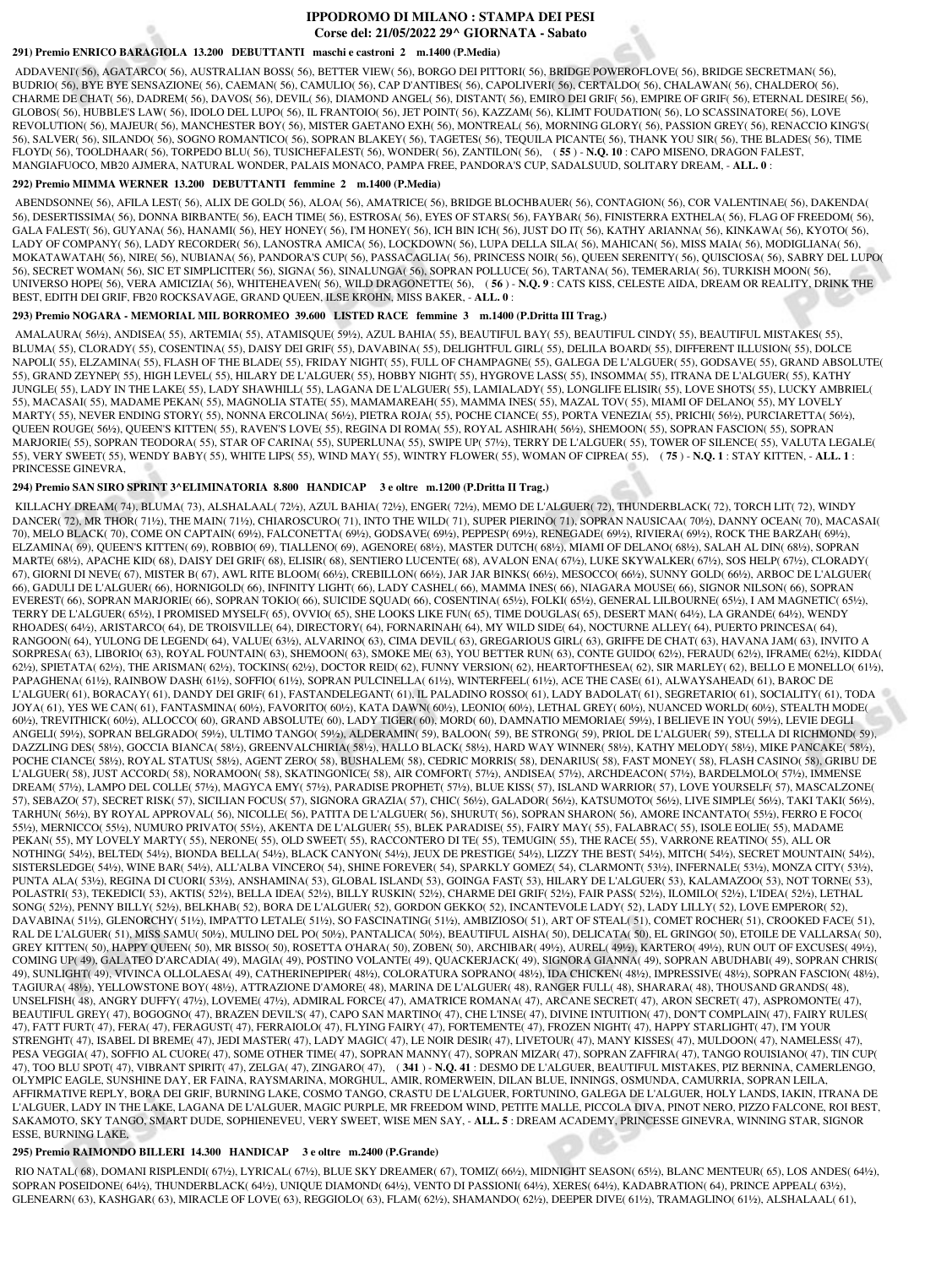# **IPPODROMO DI MILANO : STAMPA DEI PESI Corse del: 21/05/2022 29^ GIORNATA - Sabato**

# **291) Premio ENRICO BARAGIOLA 13.200 DEBUTTANTI maschi e castroni 2 m.1400 (P.Media)**

 ADDAVENI'( 56), AGATARCO( 56), AUSTRALIAN BOSS( 56), BETTER VIEW( 56), BORGO DEI PITTORI( 56), BRIDGE POWEROFLOVE( 56), BRIDGE SECRETMAN( 56), BUDRIO( 56), BYE BYE SENSAZIONE( 56), CAEMAN( 56), CAMULIO( 56), CAP D'ANTIBES( 56), CAPOLIVERI( 56), CERTALDO( 56), CHALAWAN( 56), CHALDERO( 56), CHARME DE CHAT( 56), DADREM( 56), DAVOS( 56), DEVIL( 56), DIAMOND ANGEL( 56), DISTANT( 56), EMIRO DEI GRIF( 56), EMPIRE OF GRIF( 56), ETERNAL DESIRE( 56), GLOBOS( 56), HUBBLE'S LAW( 56), IDOLO DEL LUPO( 56), IL FRANTOIO( 56), JET POINT( 56), KAZZAM( 56), KLIMT FOUDATION( 56), LO SCASSINATORE( 56), LOVE REVOLUTION( 56), MAJEUR( 56), MANCHESTER BOY( 56), MISTER GAETANO EXH( 56), MONTREAL( 56), MORNING GLORY( 56), PASSION GREY( 56), RENACCIO KING'S( 56), SALVER( 56), SILANDO( 56), SOGNO ROMANTICO( 56), SOPRAN BLAKEY( 56), TAGETES( 56), TEQUILA PICANTE( 56), THANK YOU SIR( 56), THE BLADES( 56), TIME FLOYD( 56), TOOLDHAAR( 56), TORPEDO BLU( 56), TUSICHEFALEST( 56), WONDER( 56), ZANTILON( 56), ( **55** ) - **N.Q. 10** : CAPO MISENO, DRAGON FALEST, MANGIAFUOCO, MB20 AJMERA, NATURAL WONDER, PALAIS MONACO, PAMPA FREE, PANDORA'S CUP, SADALSUUD, SOLITARY DREAM, - **ALL. 0** :

#### **292) Premio MIMMA WERNER 13.200 DEBUTTANTI femmine 2 m.1400 (P.Media)**

 ABENDSONNE( 56), AFILA LEST( 56), ALIX DE GOLD( 56), ALOA( 56), AMATRICE( 56), BRIDGE BLOCHBAUER( 56), CONTAGION( 56), COR VALENTINAE( 56), DAKENDA( 56), DESERTISSIMA( 56), DONNA BIRBANTE( 56), EACH TIME( 56), ESTROSA( 56), EYES OF STARS( 56), FAYBAR( 56), FINISTERRA EXTHELA( 56), FLAG OF FREEDOM( 56), GALA FALEST( 56), GUYANA( 56), HANAMI( 56), HEY HONEY( 56), I'M HONEY( 56), ICH BIN ICH( 56), JUST DO IT( 56), KATHY ARIANNA( 56), KINKAWA( 56), KYOTO( 56), LADY OF COMPANY( 56), LADY RECORDER( 56), LANOSTRA AMICA( 56), LOCKDOWN( 56), LUPA DELLA SILA( 56), MAHICAN( 56), MISS MAIA( 56), MODIGLIANA( 56), MOKATAWATAH( 56), NIRE( 56), NUBIANA( 56), PANDORA'S CUP( 56), PASSACAGLIA( 56), PRINCESS NOIR( 56), QUEEN SERENITY( 56), QUISCIOSA( 56), SABRY DEL LUPO( 56), SECRET WOMAN( 56), SIC ET SIMPLICITER( 56), SIGNA( 56), SINALUNGA( 56), SOPRAN POLLUCE( 56), TARTANA( 56), TEMERARIA( 56), TURKISH MOON( 56), UNIVERSO HOPE( 56), VERA AMICIZIA( 56), WHITEHEAVEN( 56), WILD DRAGONETTE( 56), ( **56** ) - **N.Q. 9** : CATS KISS, CELESTE AIDA, DREAM OR REALITY, DRINK THE BEST, EDITH DEI GRIF, FB20 ROCKSAVAGE, GRAND QUEEN, ILSE KROHN, MISS BAKER, - **ALL. 0** :

### **293) Premio NOGARA - MEMORIAL MIL BORROMEO 39.600 LISTED RACE femmine 3 m.1400 (P.Dritta III Trag.)**

 AMALAURA( 56½), ANDISEA( 55), ARTEMIA( 55), ATAMISQUE( 59½), AZUL BAHIA( 55), BEAUTIFUL BAY( 55), BEAUTIFUL CINDY( 55), BEAUTIFUL MISTAKES( 55), BLUMA( 55), CLORADY( 55), COSENTINA( 55), DAISY DEI GRIF( 55), DAVABINA( 55), DELIGHTFUL GIRL( 55), DELILA BOARD( 55), DIFFERENT ILLUSION( 55), DOLCE NAPOLI( 55), ELZAMINA( 55), FLASH OF THE BLADE( 55), FRIDAY NIGHT( 55), FULL OF CHAMPAGNE( 55), GALEGA DE L'ALGUER( 55), GODSAVE( 55), GRAND ABSOLUTE( 55), GRAND ZEYNEP( 55), HIGH LEVEL( 55), HILARY DE L'ALGUER( 55), HOBBY NIGHT( 55), HYGROVE LASS( 55), INSOMMA( 55), ITRANA DE L'ALGUER( 55), KATHY JUNGLE( 55), LADY IN THE LAKE( 55), LADY SHAWHILL( 55), LAGANA DE L'ALGUER( 55), LAMIALADY( 55), LONGLIFE ELISIR( 55), LOVE SHOTS( 55), LUCKY AMBRIEL( 55), MACASAI( 55), MADAME PEKAN( 55), MAGNOLIA STATE( 55), MAMAMAREAH( 55), MAMMA INES( 55), MAZAL TOV( 55), MIAMI OF DELANO( 55), MY LOVELY MARTY( 55), NEVER ENDING STORY( 55), NONNA ERCOLINA( 56½), PIETRA ROJA( 55), POCHE CIANCE( 55), PORTA VENEZIA( 55), PRICHI( 56½), PURCIARETTA( 56½), QUEEN ROUGE( 56½), QUEEN'S KITTEN( 55), RAVEN'S LOVE( 55), REGINA DI ROMA( 55), ROYAL ASHIRAH( 56½), SHEMOON( 55), SOPRAN FASCION( 55), SOPRAN MARJORIE( 55), SOPRAN TEODORA( 55), STAR OF CARINA( 55), SUPERLUNA( 55), SWIPE UP( 57½), TERRY DE L'ALGUER( 55), TOWER OF SILENCE( 55), VALUTA LEGALE( 55), VERY SWEET( 55), WENDY BABY( 55), WHITE LIPS( 55), WIND MAY( 55), WINTRY FLOWER( 55), WOMAN OF CIPREA( 55), ( **75** ) - **N.Q. 1** : STAY KITTEN, - **ALL. 1** : PRINCESSE GINEVRA,

## **294) Premio SAN SIRO SPRINT 3^ELIMINATORIA 8.800 HANDICAP 3 e oltre m.1200 (P.Dritta II Trag.)**

 KILLACHY DREAM( 74), BLUMA( 73), ALSHALAAL( 72½), AZUL BAHIA( 72½), ENGER( 72½), MEMO DE L'ALGUER( 72), THUNDERBLACK( 72), TORCH LIT( 72), WINDY DANCER( 72), MR THOR( 71½), THE MAIN( 71½), CHIAROSCURO( 71), INTO THE WILD( 71), SUPER PIERINO( 71), SOPRAN NAUSICAA( 70½), DANNY OCEAN( 70), MACASAI( 70), MELO BLACK( 70), COME ON CAPTAIN( 69½), FALCONETTA( 69½), GODSAVE( 69½), PEPPESP( 69½), RENEGADE( 69½), RIVIERA( 69½), ROCK THE BARZAH( 69½), ELZAMINA( 69), QUEEN'S KITTEN( 69), ROBBIO( 69), TIALLENO( 69), AGENORE( 68½), MASTER DUTCH( 68½), MIAMI OF DELANO( 68½), SALAH AL DIN( 68½), SOPRAN MARTE( 68½), APACHE KID( 68), DAISY DEI GRIF( 68), ELISIR( 68), SENTIERO LUCENTE( 68), AVALON ENA( 67½), LUKE SKYWALKER( 67½), SOS HELP( 67½), CLORADY( 67), GIORNI DI NEVE( 67), MISTER B( 67), AWL RITE BLOOM( 66½), CREBILLON( 66½), JAR JAR BINKS( 66½), MESOCCO( 66½), SUNNY GOLD( 66½), ARBOC DE L'ALGUER( 66), GADULI DE L'ALGUER( 66), HORNIGOLD( 66), INFINITY LIGHT( 66), LADY CASHEL( 66), MAMMA INES( 66), NIAGARA MOUSE( 66), SIGNOR NILSON( 66), SOPRAN EVEREST( 66), SOPRAN MARJORIE( 66), SOPRAN TOKIO( 66), SUICIDE SQUAD( 66), COSENTINA( 65½), FOLKI( 65½), GENERAL LILBOURNE( 65½), I AM MAGNETIC( 65½), TERRY DE L'ALGUER( 65½), I PROMISED MYSELF( 65), OVVIO( 65), SHE LOOKS LIKE FUN( 65), TIME DOUGLAS( 65), DESERT MAN( 64½), LA GRANDE( 64½), WENDY RHOADES( 64½), ARISTARCO( 64), DE TROISVILLE( 64), DIRECTORY( 64), FORNARINAH( 64), MY WILD SIDE( 64), NOCTURNE ALLEY( 64), PUERTO PRINCESA( 64), RANGOON( 64), YULONG DE LEGEND( 64), VALUE( 63½), ALVARINO( 63), CIMA DEVIL( 63), GREGARIOUS GIRL( 63), GRIFFE DE CHAT( 63), HAVANA JAM( 63), INVITO A SORPRESA( 63), LIBORIO( 63), ROYAL FOUNTAIN( 63), SHEMOON( 63), SMOKE ME( 63), YOU BETTER RUN( 63), CONTE GUIDO( 62½), FERAUD( 62½), IFRAME( 62½), KIDDA( 62½), SPIETATA( 62½), THE ARISMAN( 62½), TOCKINS( 62½), DOCTOR REID( 62), FUNNY VERSION( 62), HEARTOFTHESEA( 62), SIR MARLEY( 62), BELLO E MONELLO( 61½), PAPAGHENA( 61½), RAINBOW DASH( 61½), SOFFIO( 61½), SOPRAN PULCINELLA( 61½), WINTERFEEL( 61½), ACE THE CASE( 61), ALWAYSAHEAD( 61), BAROC DE L'ALGUER( 61), BORACAY( 61), DANDY DEI GRIF( 61), FASTANDELEGANT( 61), IL PALADINO ROSSO( 61), LADY BADOLAT( 61), SEGRETARIO( 61), SOCIALITY( 61), TODA JOYA( 61), YES WE CAN( 61), FANTASMINA( 60½), FAVORITO( 60½), KATA DAWN( 60½), LEONIO( 60½), LETHAL GREY( 60½), NUANCED WORLD( 60½), STEALTH MODE( 60½), TREVITHICK( 60½), ALLOCCO( 60), GRAND ABSOLUTE( 60), LADY TIGER( 60), MORD( 60), DAMNATIO MEMORIAE( 59½), I BELIEVE IN YOU( 59½), LEVIE DEGLI ANGELI( 59½), SOPRAN BELGRADO( 59½), ULTIMO TANGO( 59½), ALDERAMIN( 59), BALOON( 59), BE STRONG( 59), PRIOL DE L'ALGUER( 59), STELLA DI RICHMOND( 59), DAZZLING DES( 58½), GOCCIA BIANCA( 58½), GREENVALCHIRIA( 58½), HALLO BLACK( 58½), HARD WAY WINNER( 58½), KATHY MELODY( 58½), MIKE PANCAKE( 58½), POCHE CIANCE( 58½), ROYAL STATUS( 58½), AGENT ZERO( 58), BUSHALEM( 58), CEDRIC MORRIS( 58), DENARIUS( 58), FAST MONEY( 58), FLASH CASINO( 58), GRIBU DE L'ALGUER( 58), JUST ACCORD( 58), NORAMOON( 58), SKATINGONICE( 58), AIR COMFORT( 57½), ANDISEA( 57½), ARCHDEACON( 57½), BARDELMOLO( 57½), IMMENSE DREAM( 57½), LAMPO DEL COLLE( 57½), MAGYCA EMY( 57½), PARADISE PROPHET( 57½), BLUE KISS( 57), ISLAND WARRIOR( 57), LOVE YOURSELF( 57), MASCALZONE( 57), SEBAZO( 57), SECRET RISK( 57), SICILIAN FOCUS( 57), SIGNORA GRAZIA( 57), CHIC( 56½), GALADOR( 56½), KATSUMOTO( 56½), LIVE SIMPLE( 56½), TAKI TAKI( 56½), TARHUN( 56½), BY ROYAL APPROVAL( 56), NICOLLE( 56), PATITA DE L'ALGUER( 56), SHURUT( 56), SOPRAN SHARON( 56), AMORE INCANTATO( 55½), FERRO E FOCO( 55½), MERNICCO( 55½), NUMURO PRIVATO( 55½), AKENTA DE L'ALGUER( 55), BLEK PARADISE( 55), FAIRY MAY( 55), FALABRAC( 55), ISOLE EOLIE( 55), MADAME PEKAN( 55), MY LOVELY MARTY( 55), NERONE( 55), OLD SWEET( 55), RACCONTERO DI TE( 55), TEMUGIN( 55), THE RACE( 55), VARRONE REATINO( 55), ALL OR NOTHING( 54½), BELTED( 54½), BIONDA BELLA( 54½), BLACK CANYON( 54½), JEUX DE PRESTIGE( 54½), LIZZY THE BEST( 54½), MITCH( 54½), SECRET MOUNTAIN( 54½), SISTERSLEDGE( 54½), WINE BAR( 54½), ALL'ALBA VINCERO( 54), SHINE FOREVER( 54), SPARKLY GOMEZ( 54), CLARMONT( 53½), INFERNALE( 53½), MONZA CITY( 53½), PUNTA ALA( 53½), REGINA DI CUORI( 53½), ANSHAMINA( 53), GLOBAL ISLAND( 53), GOINGA FAST( 53), HILARY DE L'ALGUER( 53), KALAMAZOO( 53), NOT TORNE( 53), POLASTRI( 53), TEKEDICI( 53), AKTIS( 52½), BELLA IDEA( 52½), BILLY RUSKIN( 52½), CHARME DEI GRIF( 52½), FAIR PASS( 52½), ILOMILO( 52½), L'IDEA( 52½), LETHAL SONG( 52½), PENNY BILLY( 52½), BELKHAB( 52), BORA DE L'ALGUER( 52), GORDON GEKKO( 52), INCANTEVOLE LADY( 52), LADY LILLY( 52), LOVE EMPEROR( 52), DAVABINA( 51½), GLENORCHY( 51½), IMPATTO LETALE( 51½), SO FASCINATING( 51½), AMBIZIOSO( 51), ART OF STEAL( 51), COMET ROCHER( 51), CROOKED FACE( 51), RAL DE L'ALGUER( 51), MISS SAMU( 50½), MULINO DEL PO( 50½), PANTALICA( 50½), BEAUTIFUL AISHA( 50), DELICATA( 50), EL GRINGO( 50), ETOILE DE VALLARSA( 50), GREY KITTEN( 50), HAPPY QUEEN( 50), MR BISSO( 50), ROSETTA O'HARA( 50), ZOBEN( 50), ARCHIBAR( 49½), AUREL( 49½), KARTERO( 49½), RUN OUT OF EXCUSES( 49½), COMING UP( 49), GALATEO D'ARCADIA( 49), MAGIA( 49), POSTINO VOLANTE( 49), QUACKERJACK( 49), SIGNORA GIANNA( 49), SOPRAN ABUDHABI( 49), SOPRAN CHRIS( 49), SUNLIGHT( 49), VIVINCA OLLOLAESA( 49), CATHERINEPIPER( 48½), COLORATURA SOPRANO( 48½), IDA CHICKEN( 48½), IMPRESSIVE( 48½), SOPRAN FASCION( 48½), TAGIURA( 48½), YELLOWSTONE BOY( 48½), ATTRAZIONE D'AMORE( 48), MARINA DE L'ALGUER( 48), RANGER FULL( 48), SHARARA( 48), THOUSAND GRANDS( 48), UNSELFISH( 48), ANGRY DUFFY( 47½), LOVEME( 47½), ADMIRAL FORCE( 47), AMATRICE ROMANA( 47), ARCANE SECRET( 47), ARON SECRET( 47), ASPROMONTE( 47), BEAUTIFUL GREY( 47), BOGOGNO( 47), BRAZEN DEVIL'S( 47), CAPO SAN MARTINO( 47), CHE L'INSE( 47), DIVINE INTUITION( 47), DON'T COMPLAIN( 47), FAIRY RULES( 47), FATT FURT( 47), FERA( 47), FERAGUST( 47), FERRAIOLO( 47), FLYING FAIRY( 47), FORTEMENTE( 47), FROZEN NIGHT( 47), HAPPY STARLIGHT( 47), I'M YOUR STRENGHT( 47), ISABEL DI BREME( 47), JEDI MASTER( 47), LADY MAGIC( 47), LE NOIR DESIR( 47), LIVETOUR( 47), MANY KISSES( 47), MULDOON( 47), NAMELESS( 47), PESA VEGGIA( 47), SOFFIO AL CUORE( 47), SOME OTHER TIME( 47), SOPRAN MANNY( 47), SOPRAN MIZAR( 47), SOPRAN ZAFFIRA( 47), TANGO ROUISIANO( 47), TIN CUP( 47), TOO BLU SPOT( 47), VIBRANT SPIRIT( 47), ZELGA( 47), ZINGARO( 47), ( **341** ) - **N.Q. 41** : DESMO DE L'ALGUER, BEAUTIFUL MISTAKES, PIZ BERNINA, CAMERLENGO, OLYMPIC EAGLE, SUNSHINE DAY, ER FAINA, RAYSMARINA, MORGHUL, AMIR, ROMERWEIN, DILAN BLUE, INNINGS, OSMUNDA, CAMURRIA, SOPRAN LEILA, AFFIRMATIVE REPLY, BORA DEI GRIF, BURNING LAKE, COSMO TANGO, CRASTU DE L'ALGUER, FORTUNINO, GALEGA DE L'ALGUER, HOLY LANDS, IAKIN, ITRANA DE L'ALGUER, LADY IN THE LAKE, LAGANA DE L'ALGUER, MAGIC PURPLE, MR FREEDOM WIND, PETITE MALLE, PICCOLA DIVA, PINOT NERO, PIZZO FALCONE, ROI BEST, SAKAMOTO, SKY TANGO, SMART DUDE, SOPHIENEVEU, VERY SWEET, WISE MEN SAY, - **ALL. 5** : DREAM ACADEMY, PRINCESSE GINEVRA, WINNING STAR, SIGNOR ESSE, BURNING LAKE,

### **295) Premio RAIMONDO BILLERI 14.300 HANDICAP 3 e oltre m.2400 (P.Grande)**

 RIO NATAL( 68), DOMANI RISPLENDI( 67½), LYRICAL( 67½), BLUE SKY DREAMER( 67), TOMIZ( 66½), MIDNIGHT SEASON( 65½), BLANC MENTEUR( 65), LOS ANDES( 64½), SOPRAN POSEIDONE( 64½), THUNDERBLACK( 64½), UNIQUE DIAMOND( 64½), VENTO DI PASSIONI( 64½), XERES( 64½), KADABRATION( 64), PRINCE APPEAL( 63½), GLENEARN( 63), KASHGAR( 63), MIRACLE OF LOVE( 63), REGGIOLO( 63), FLAM( 62½), SHAMANDO( 62½), DEEPER DIVE( 61½), TRAMAGLINO( 61½), ALSHALAAL( 61),